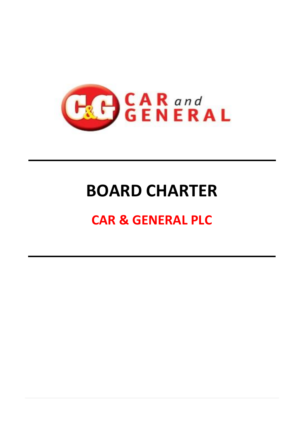

# **BOARD CHARTER**

# **CAR & GENERAL PLC**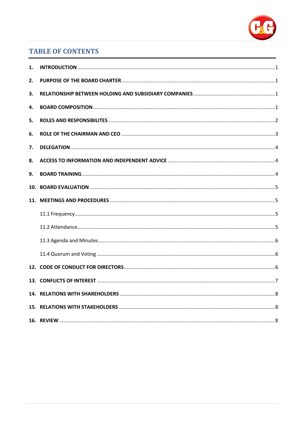

# **TABLE OF CONTENTS**

| 1.  |  |
|-----|--|
| 2.  |  |
| 3.  |  |
| 4.  |  |
| 5.  |  |
| 6.  |  |
| 7.  |  |
| 8.  |  |
| 9.  |  |
| 10. |  |
|     |  |
|     |  |
|     |  |
|     |  |
|     |  |
|     |  |
|     |  |
|     |  |
|     |  |
|     |  |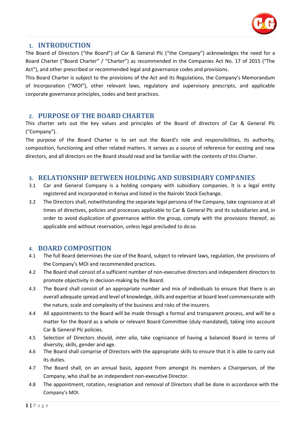

#### <span id="page-2-0"></span>**1. INTRODUCTION**

The Board of Directors ("the Board") of Car & General Plc ("the Company") acknowledges the need for a Board Charter ("Board Charter" / "Charter") as recommended in the Companies Act No. 17 of 2015 ("The Act"), and other prescribed or recommended legal and governance codes and provisions.

This Board Charter is subject to the provisions of the Act and its Regulations, the Company's Memorandum of Incorporation ("MOI"), other relevant laws, regulatory and supervisory prescripts, and applicable corporate governance principles, codes and best practices.

#### <span id="page-2-1"></span>**2. PURPOSE OF THE BOARD CHARTER**

This charter sets out the key values and principles of the Board of directors of Car & General Plc ("Company").

The purpose of the Board Charter is to set out the Board's role and responsibilities, its authority, composition, functioning and other related matters. It serves as a source of reference for existing and new directors, and all directors on the Board should read and be familiar with the contents of this Charter.

#### <span id="page-2-2"></span>**3. RELATIONSHIP BETWEEN HOLDING AND SUBSIDIARY COMPANIES**

- 3.1 Car and General Company is a holding company with subsidiary companies. It is a legal entity registered and incorporated in Kenya and listed in the Nairobi Stock Exchange.
- 3.2 The Directors shall, notwithstanding the separate legal persona of the Company, take cognizance at all times of directives, policies and processes applicable to Car & General Plc and its subsidiaries and, in order to avoid duplication of governance within the group, comply with the provisions thereof, as applicable and without reservation, unless legal precluded to do so.

# <span id="page-2-3"></span>**4. BOARD COMPOSITION**

- 4.1 The full Board determines the size of the Board, subject to relevant laws, regulation, the provisions of the Company's MOI and recommended practices.
- 4.2 The Board shall consist of a sufficient number of non-executive directors and independent directorsto promote objectivity in decision-making by the Board.
- 4.3 The Board shall consist of an appropriate number and mix of individuals to ensure that there is an overall adequate spread and level of knowledge, skills and expertise at board level commensurate with the nature, scale and complexity of the business and risks of the insurers.
- 4.4 All appointments to the Board will be made through a formal and transparent process, and will be a matter for the Board as a whole or relevant Board Committee (duly mandated), taking into account Car & General Plc policies.
- 4.5 Selection of Directors should, *inter alia*, take cognisance of having a balanced Board in terms of diversity, skills, gender and age.
- 4.6 The Board shall comprise of Directors with the appropriate skills to ensure that it is able to carry out its duties.
- 4.7 The Board shall, on an annual basis, appoint from amongst its members a Chairperson, of the Company, who shall be an independent non-executive Director.
- 4.8 The appointment, rotation, resignation and removal of Directors shall be done in accordance with the Company's MOI.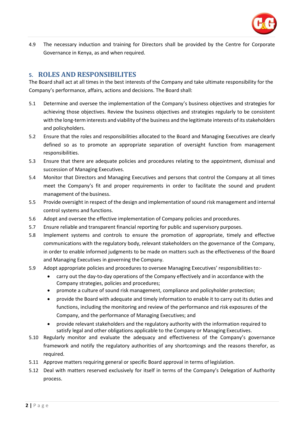

4.9 The necessary induction and training for Directors shall be provided by the Centre for Corporate Governance in Kenya, as and when required.

#### <span id="page-3-0"></span>**5. ROLES AND RESPONSIBILITES**

The Board shall act at all times in the best interests of the Company and take ultimate responsibility for the Company's performance, affairs, actions and decisions. The Board shall:

- 5.1 Determine and oversee the implementation of the Company's business objectives and strategies for achieving those objectives. Review the business objectives and strategies regularly to be consistent with the long-term interests and viability of the business and the legitimate interests of its stakeholders and policyholders.
- 5.2 Ensure that the roles and responsibilities allocated to the Board and Managing Executives are clearly defined so as to promote an appropriate separation of oversight function from management responsibilities.
- 5.3 Ensure that there are adequate policies and procedures relating to the appointment, dismissal and succession of Managing Executives.
- 5.4 Monitor that Directors and Managing Executives and persons that control the Company at all times meet the Company's fit and proper requirements in order to facilitate the sound and prudent management of the business.
- 5.5 Provide oversight in respect of the design and implementation of sound risk management and internal control systems and functions.
- 5.6 Adopt and oversee the effective implementation of Company policies and procedures.
- 5.7 Ensure reliable and transparent financial reporting for public and supervisory purposes.
- 5.8 Implement systems and controls to ensure the promotion of appropriate, timely and effective communications with the regulatory body, relevant stakeholders on the governance of the Company, in order to enable informed judgments to be made on matters such as the effectiveness of the Board and Managing Executives in governing the Company.
- 5.9 Adopt appropriate policies and procedures to oversee Managing Executives' responsibilitiesto:
	- carry out the day-to-day operations of the Company effectively and in accordance with the Company strategies, policies and procedures;
	- promote a culture of sound risk management, compliance and policyholder protection;
	- provide the Board with adequate and timely information to enable it to carry out its duties and functions, including the monitoring and review of the performance and risk exposures of the Company, and the performance of Managing Executives; and
	- provide relevant stakeholders and the regulatory authority with the information required to satisfy legal and other obligations applicable to the Company or Managing Executives.
- 5.10 Regularly monitor and evaluate the adequacy and effectiveness of the Company's governance framework and notify the regulatory authorities of any shortcomings and the reasons therefor, as required.
- 5.11 Approve matters requiring general or specific Board approval in terms of legislation.
- 5.12 Deal with matters reserved exclusively for itself in terms of the Company's Delegation of Authority process.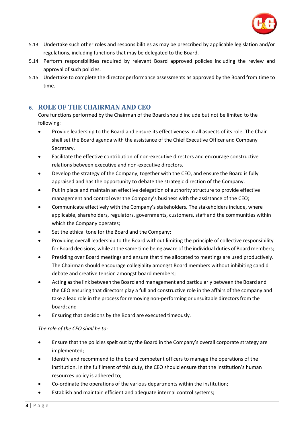

- 5.13 Undertake such other roles and responsibilities as may be prescribed by applicable legislation and/or regulations, including functions that may be delegated to the Board.
- 5.14 Perform responsibilities required by relevant Board approved policies including the review and approval of such policies.
- 5.15 Undertake to complete the director performance assessments as approved by the Board from time to time.

### <span id="page-4-0"></span>**6. ROLE OF THE CHAIRMAN AND CEO**

Core functions performed by the Chairman of the Board should include but not be limited to the following:

- Provide leadership to the Board and ensure its effectiveness in all aspects of its role. The Chair shall set the Board agenda with the assistance of the Chief Executive Officer and Company Secretary.
- Facilitate the effective contribution of non-executive directors and encourage constructive relations between executive and non-executive directors.
- Develop the strategy of the Company, together with the CEO, and ensure the Board is fully appraised and has the opportunity to debate the strategic direction of the Company.
- Put in place and maintain an effective delegation of authority structure to provide effective management and control over the Company's business with the assistance of the CEO;
- Communicate effectively with the Company's stakeholders. The stakeholders include, where applicable, shareholders, regulators, governments, customers, staff and the communities within which the Company operates;
- Set the ethical tone for the Board and the Company;
- Providing overall leadership to the Board without limiting the principle of collective responsibility for Board decisions, while at the same time being aware of the individual duties of Board members;
- Presiding over Board meetings and ensure that time allocated to meetings are used productively. The Chairman should encourage collegiality amongst Board members without inhibiting candid debate and creative tension amongst board members;
- Acting asthe link between the Board and management and particularly between the Board and the CEO ensuring that directors play a full and constructive role in the affairs of the company and take a lead role in the process for removing non-performing or unsuitable directors from the board; and
- Ensuring that decisions by the Board are executed timeously.

#### *The role of the CEO shall be to:*

- Ensure that the policies spelt out by the Board in the Company's overall corporate strategy are implemented;
- Identify and recommend to the board competent officers to manage the operations of the institution. In the fulfilment of this duty, the CEO should ensure that the institution's human resources policy is adhered to;
- Co-ordinate the operations of the various departments within the institution;
- Establish and maintain efficient and adequate internal control systems;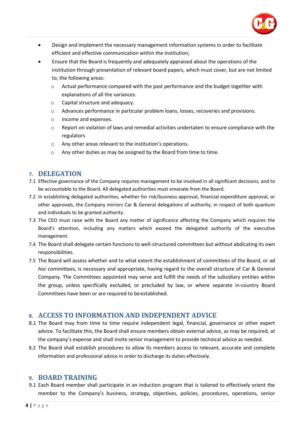

- Design and implement the necessary management information systems in order to facilitate efficient and effective communication within the institution;
- Ensure that the Board is frequently and adequately appraised about the operations of the institution through presentation of relevant board papers, which must cover, but are not limited to, the following areas:
	- $\circ$  Actual performance compared with the past performance and the budget together with explanations of all the variances.
	- o Capital structure and adequacy.
	- $\circ$  Advances performance in particular problem loans, losses, recoveries and provisions.
	- o Income and expenses.
	- o Report on violation of laws and remedial activities undertaken to ensure compliance with the regulators
	- o Any other areas relevant to the institution's operations.
	- o Any other duties as may be assigned by the Board from time to time.

#### <span id="page-5-0"></span>**7. DELEGATION**

- 7.1 Effective governance of the Company requires management to be involved in all significant decisions, and to be accountable to the Board. All delegated authorities must emanate from the Board.
- 7.2 In establishing delegated authorities, whether for risk/business approval, financial expenditure approval, or other approvals, the Company mirrors Car & General delegations of authority, in respect of both quantum and individuals to be granted authority.
- 7.3 The CEO must raise with the Board any matter of significance affecting the Company which requires the Board's attention, including any matters which exceed the delegated authority of the executive management.
- 7.4 The Board shall delegate certain functions to well-structured committees but without abdicating its own responsibilities.
- 7.5 The Board will assess whether and to what extent the establishment of committees of the Board, or *ad hoc* committees, is necessary and appropriate, having regard to the overall structure of Car & General Company. The Committees appointed may serve and fulfill the needs of the subsidiary entities within the group, unless specifically excluded, or precluded by law, or where separate in-country Board Committees have been or are required to be established.

#### <span id="page-5-1"></span>**8. ACCESS TO INFORMATION AND INDEPENDENT ADVICE**

- 8.1 The Board may from time to time require independent legal, financial, governance or other expert advice. To facilitate this, the Board shall ensure members obtain external advice, as may be required, at the company's expense and shall invite senior management to provide technical advice as needed.
- 8.2 The Board shall establish procedures to allow its members access to relevant, accurate and complete information and professional advice in order to discharge its duties effectively.

#### <span id="page-5-2"></span>**9. BOARD TRAINING**

9.1 Each Board member shall participate in an induction program that is tailored to effectively orient the member to the Company's business, strategy, objectives, policies, procedures, operations, senior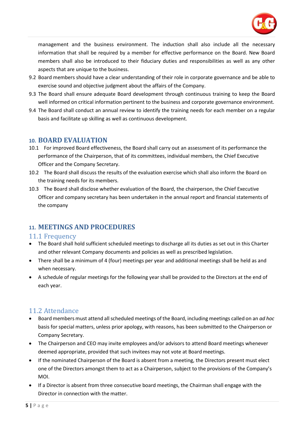

management and the business environment. The induction shall also include all the necessary information that shall be required by a member for effective performance on the Board. New Board members shall also be introduced to their fiduciary duties and responsibilities as well as any other aspects that are unique to the business.

- 9.2 Board members should have a clear understanding of their role in corporate governance and be able to exercise sound and objective judgment about the affairs of the Company.
- 9.3 The Board shall ensure adequate Board development through continuous training to keep the Board well informed on critical information pertinent to the business and corporate governance environment.
- 9.4 The Board shall conduct an annual review to identify the training needs for each member on a regular basis and facilitate up skilling as well as continuous development.

#### <span id="page-6-0"></span>**10. BOARD EVALUATION**

- 10.1 For improved Board effectiveness, the Board shall carry out an assessment of its performance the performance of the Chairperson, that of its committees, individual members, the Chief Executive Officer and the Company Secretary.
- 10.2 The Board shall discuss the results of the evaluation exercise which shall also inform the Board on the training needs for its members.
- 10.3 The Board shall disclose whether evaluation of the Board, the chairperson, the Chief Executive Officer and company secretary has been undertaken in the annual report and financial statements of the company

# <span id="page-6-1"></span>**11. MEETINGS AND PROCEDURES**

# <span id="page-6-2"></span>11.1 Frequency

- The Board shall hold sufficient scheduled meetings to discharge all its duties as set out in this Charter and other relevant Company documents and policies as well as prescribed legislation.
- There shall be a minimum of 4 (four) meetings per year and additional meetings shall be held as and when necessary.
- A schedule of regular meetings for the following year shall be provided to the Directors at the end of each year.

# <span id="page-6-3"></span>11.2 Attendance

- Board members must attend allscheduled meetings of the Board, including meetings called on an *ad hoc*  basis for special matters, unless prior apology, with reasons, has been submitted to the Chairperson or Company Secretary.
- The Chairperson and CEO may invite employees and/or advisors to attend Board meetings whenever deemed appropriate, provided that such invitees may not vote at Board meetings.
- If the nominated Chairperson of the Board is absent from a meeting, the Directors present must elect one of the Directors amongst them to act as a Chairperson, subject to the provisions of the Company's MOI.
- If a Director is absent from three consecutive board meetings, the Chairman shall engage with the Director in connection with the matter.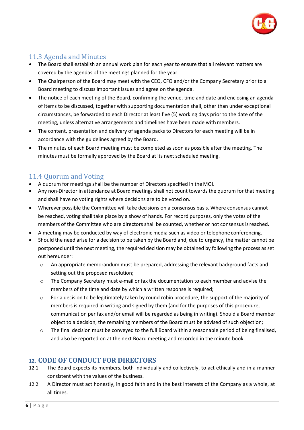

# <span id="page-7-0"></span>11.3 Agenda and Minutes

- The Board shall establish an annual work plan for each year to ensure that all relevant matters are covered by the agendas of the meetings planned for the year.
- The Chairperson of the Board may meet with the CEO, CFO and/or the Company Secretary prior to a Board meeting to discuss important issues and agree on the agenda.
- The notice of each meeting of the Board, confirming the venue, time and date and enclosing an agenda of items to be discussed, together with supporting documentation shall, other than under exceptional circumstances, be forwarded to each Director at least five (5) working days prior to the date of the meeting, unless alternative arrangements and timelines have been made with members.
- The content, presentation and delivery of agenda packs to Directors for each meeting will be in accordance with the guidelines agreed by the Board.
- The minutes of each Board meeting must be completed as soon as possible after the meeting. The minutes must be formally approved by the Board at its next scheduled meeting.

# <span id="page-7-1"></span>11.4 Quorum and Voting

- A quorum for meetings shall be the number of Directors specified in the MOI.
- Any non-Director in attendance at Board meetings shall not count towards the quorum for that meeting and shall have no voting rights where decisions are to be voted on.
- Wherever possible the Committee will take decisions on a consensus basis. Where consensus cannot be reached, voting shall take place by a show of hands. For record purposes, only the votes of the members of the Committee who are directors shall be counted, whether or not consensus isreached.
- A meeting may be conducted by way of electronic media such as video or telephone conferencing.
- Should the need arise for a decision to be taken by the Board and, due to urgency, the matter cannot be postponed until the next meeting, the required decision may be obtained by following the process as set out hereunder:
	- o An appropriate memorandum must be prepared, addressing the relevant background facts and setting out the proposed resolution;
	- $\circ$  The Company Secretary must e-mail or fax the documentation to each member and advise the members of the time and date by which a written response is required;
	- o For a decision to be legitimately taken by round robin procedure, the support of the majority of members is required in writing and signed by them (and for the purposes of this procedure, communication per fax and/or email will be regarded as being in writing). Should a Board member object to a decision, the remaining members of the Board must be advised of such objection;
	- o The final decision must be conveyed to the full Board within a reasonable period of being finalised, and also be reported on at the next Board meeting and recorded in the minute book.

# <span id="page-7-2"></span>**12. CODE OF CONDUCT FOR DIRECTORS**

- 12.1 The Board expects its members, both individually and collectively, to act ethically and in a manner consistent with the values of the business.
- 12.2 A Director must act honestly, in good faith and in the best interests of the Company as a whole, at all times.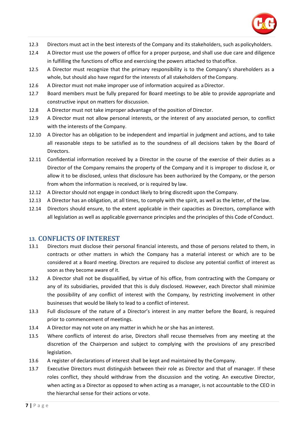

- 12.3 Directors must act in the best interests of the Company and its stakeholders, such aspolicyholders.
- 12.4 A Director must use the powers of office for a proper purpose, and shall use due care and diligence in fulfilling the functions of office and exercising the powers attached to thatoffice.
- 12.5 A Director must recognize that the primary responsibility is to the Company's shareholders as a whole, but should also have regard for the interests of all stakeholders of the Company.
- 12.6 A Director must not make improper use of information acquired as a Director.
- 12.7 Board members must be fully prepared for Board meetings to be able to provide appropriate and constructive input on matters for discussion.
- 12.8 A Director must not take improper advantage of the position of Director.
- 12.9 A Director must not allow personal interests, or the interest of any associated person, to conflict with the interests of the Company.
- 12.10 A Director has an obligation to be independent and impartial in judgment and actions, and to take all reasonable steps to be satisfied as to the soundness of all decisions taken by the Board of Directors.
- 12.11 Confidential information received by a Director in the course of the exercise of their duties as a Director of the Company remains the property of the Company and it is improper to disclose it, or allow it to be disclosed, unless that disclosure has been authorized by the Company, or the person from whom the information is received, or is required by law.
- 12.12 A Director should not engage in conduct likely to bring discredit upon the Company.
- 12.13 A Director has an obligation, at all times, to comply with the spirit, as well as the letter, of thelaw.
- 12.14 Directors should ensure, to the extent applicable in their capacities as Directors, compliance with all legislation as well as applicable governance principles and the principles of this Code of Conduct.

#### <span id="page-8-0"></span>**13. CONFLICTS OF INTEREST**

- 13.1 Directors must disclose their personal financial interests, and those of persons related to them, in contracts or other matters in which the Company has a material interest or which are to be considered at a Board meeting. Directors are required to disclose any potential conflict of interest as soon as they become aware of it.
- 13.2 A Director shall not be disqualified, by virtue of his office, from contracting with the Company or any of its subsidiaries, provided that this is duly disclosed. However, each Director shall minimize the possibility of any conflict of interest with the Company, by restricting involvement in other businesses that would be likely to lead to a conflict of interest.
- 13.3 Full disclosure of the nature of a Director's interest in any matter before the Board, is required prior to commencement of meetings.
- 13.4 A Director may not vote on any matter in which he or she has an interest.
- 13.5 Where conflicts of interest do arise, Directors shall recuse themselves from any meeting at the discretion of the Chairperson and subject to complying with the provisions of any prescribed legislation.
- 13.6 A register of declarations of interest shall be kept and maintained by the Company.
- 13.7 Executive Directors must distinguish between their role as Director and that of manager. If these roles conflict, they should withdraw from the discussion and the voting. An executive Director, when acting as a Director as opposed to when acting as a manager, is not accountable to the CEO in the hierarchal sense for their actions or vote.